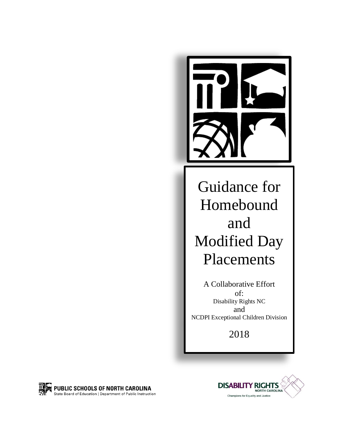

Guidance for Homebound and Modified Day Placements

A Collaborative Effort of: Disability Rights NC and NCDPI Exceptional Children Division

2018



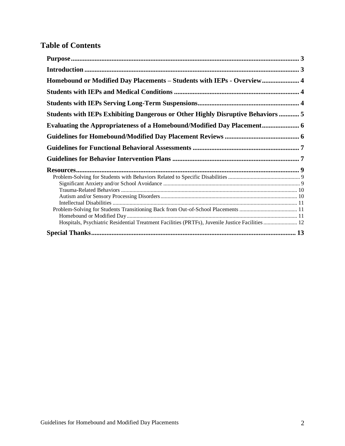# **Table of Contents**

| Homebound or Modified Day Placements - Students with IEPs - Overview 4                           |  |
|--------------------------------------------------------------------------------------------------|--|
|                                                                                                  |  |
|                                                                                                  |  |
| <b>Students with IEPs Exhibiting Dangerous or Other Highly Disruptive Behaviors  5</b>           |  |
| <b>Evaluating the Appropriateness of a Homebound/Modified Day Placement</b> 6                    |  |
|                                                                                                  |  |
|                                                                                                  |  |
|                                                                                                  |  |
|                                                                                                  |  |
|                                                                                                  |  |
|                                                                                                  |  |
|                                                                                                  |  |
|                                                                                                  |  |
|                                                                                                  |  |
|                                                                                                  |  |
|                                                                                                  |  |
| Hospitals, Psychiatric Residential Treatment Facilities (PRTFs), Juvenile Justice Facilities  12 |  |
|                                                                                                  |  |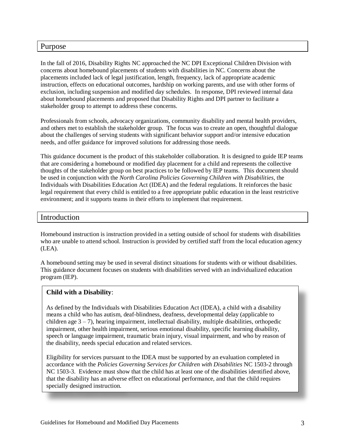#### <span id="page-2-0"></span>Purpose

In the fall of 2016, Disability Rights NC approached the NC DPI Exceptional Children Division with concerns about homebound placements of students with disabilities in NC. Concerns about the placements included lack of legal justification, length, frequency, lack of appropriate academic instruction, effects on educational outcomes, hardship on working parents, and use with other forms of exclusion, including suspension and modified day schedules. In response, DPI reviewed internal data about homebound placements and proposed that Disability Rights and DPI partner to facilitate a stakeholder group to attempt to address these concerns.

Professionals from schools, advocacy organizations, community disability and mental health providers, and others met to establish the stakeholder group. The focus was to create an open, thoughtful dialogue about the challenges of serving students with significant behavior support and/or intensive education needs, and offer guidance for improved solutions for addressing those needs.

This guidance document is the product of this stakeholder collaboration. It is designed to guide IEP teams that are considering a homebound or modified day placement for a child and represents the collective thoughts of the stakeholder group on best practices to be followed by IEP teams. This document should be used in conjunction with the *North Carolina Policies Governing Children with Disabilities*, the Individuals with Disabilities Education Act (IDEA) and the federal regulations. It reinforces the basic legal requirement that every child is entitled to a free appropriate public education in the least restrictive environment; and it supports teams in their efforts to implement that requirement.

### <span id="page-2-1"></span>Introduction

Homebound instruction is instruction provided in a setting outside of school for students with disabilities who are unable to attend school. Instruction is provided by certified staff from the local education agency (LEA).

A homebound setting may be used in several distinct situations for students with or without disabilities. This guidance document focuses on students with disabilities served with an individualized education program (IEP).

#### **Child with a Disability**:

As defined by the Individuals with Disabilities Education Act (IDEA), a child with a disability means a child who has autism, deaf-blindness, deafness, developmental delay (applicable to children age  $3 - 7$ ), hearing impairment, intellectual disability, multiple disabilities, orthopedic impairment, other health impairment, serious emotional disability, specific learning disability, speech or language impairment, traumatic brain injury, visual impairment, and who by reason of the disability, needs special education and related services.

Eligibility for services pursuant to the IDEA must be supported by an evaluation completed in accordance with the *Policies Governing Services for Children with Disabilities* NC 1503-2 through NC 1503-3. Evidence must show that the child has at least one of the disabilities identified above, that the disability has an adverse effect on educational performance, and that the child requires specially designed instruction.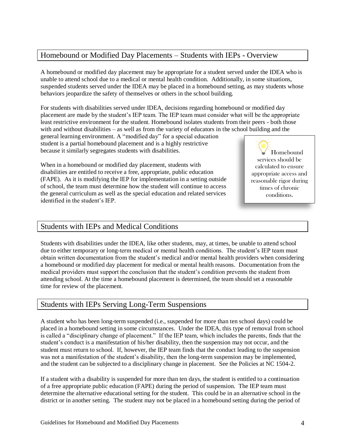# <span id="page-3-0"></span>Homebound or Modified Day Placements – Students with IEPs - Overview

A homebound or modified day placement may be appropriate for a student served under the IDEA who is unable to attend school due to a medical or mental health condition. Additionally, in some situations, suspended students served under the IDEA may be placed in a homebound setting, as may students whose behaviors jeopardize the safety of themselves or others in the school building.

For students with disabilities served under IDEA, decisions regarding homebound or modified day placement are made by the student's IEP team. The IEP team must consider what will be the appropriate least restrictive environment for the student. Homebound isolates students from their peers - both those with and without disabilities – as well as from the variety of educators in the school building and the

general learning environment. A "modified day" for a special education student is a partial homebound placement and is a highly restrictive because it similarly segregates students with disabilities.

When in a homebound or modified day placement, students with disabilities are entitled to receive a free, appropriate, public education (FAPE). As it is modifying the IEP for implementation in a setting outside of school, the team must determine how the student will continue to access the general curriculum as well as the special education and related services identified in the student's IEP.

Homebound services should be calculated to ensure appropriate access and reasonable rigor during times of chronic conditions.

## <span id="page-3-1"></span>Students with IEPs and Medical Conditions

Students with disabilities under the IDEA, like other students, may, at times, be unable to attend school due to either temporary or long-term medical or mental health conditions. The student's IEP team must obtain written documentation from the student's medical and/or mental health providers when considering a homebound or modified day placement for medical or mental health reasons. Documentation from the medical providers must support the conclusion that the student's condition prevents the student from attending school. At the time a homebound placement is determined, the team should set a reasonable time for review of the placement.

## <span id="page-3-2"></span>Students with IEPs Serving Long-Term Suspensions

A student who has been long-term suspended (i.e., suspended for more than ten school days) could be placed in a homebound setting in some circumstances. Under the IDEA, this type of removal from school is called a "disciplinary change of placement." If the IEP team, which includes the parents, finds that the student's conduct is a manifestation of his/her disability, then the suspension may not occur, and the student must return to school. If, however, the IEP team finds that the conduct leading to the suspension was not a manifestation of the student's disability, then the long-term suspension may be implemented, and the student can be subjected to a disciplinary change in placement. See the Policies at NC 1504-2.

If a student with a disability is suspended for more than ten days, the student is entitled to a continuation of a free appropriate public education (FAPE) during the period of suspension. The IEP team must determine the alternative educational setting for the student. This could be in an alternative school in the district or in another setting. The student may not be placed in a homebound setting during the period of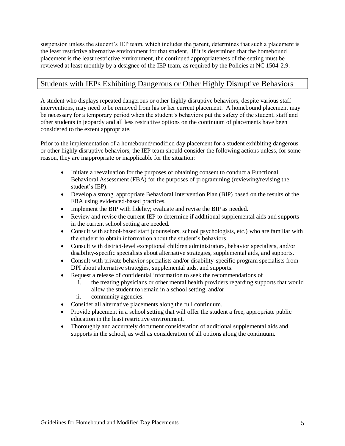suspension unless the student's IEP team, which includes the parent, determines that such a placement is the least restrictive alternative environment for that student. If it is determined that the homebound placement is the least restrictive environment, the continued appropriateness of the setting must be reviewed at least monthly by a designee of the IEP team, as required by the Policies at NC 1504-2.9.

## <span id="page-4-0"></span>Students with IEPs Exhibiting Dangerous or Other Highly Disruptive Behaviors

A student who displays repeated dangerous or other highly disruptive behaviors, despite various staff interventions, may need to be removed from his or her current placement. A homebound placement may be necessary for a temporary period when the student's behaviors put the safety of the student, staff and other students in jeopardy and all less restrictive options on the continuum of placements have been considered to the extent appropriate.

Prior to the implementation of a homebound/modified day placement for a student exhibiting dangerous or other highly disruptive behaviors, the IEP team should consider the following actions unless, for some reason, they are inappropriate or inapplicable for the situation:

- Initiate a reevaluation for the purposes of obtaining consent to conduct a Functional Behavioral Assessment (FBA) for the purposes of programming (reviewing/revising the student's IEP).
- Develop a strong, appropriate Behavioral Intervention Plan (BIP) based on the results of the FBA using evidenced-based practices.
- Implement the BIP with fidelity; evaluate and revise the BIP as needed.
- Review and revise the current IEP to determine if additional supplemental aids and supports in the current school setting are needed.
- Consult with school-based staff (counselors, school psychologists, etc.) who are familiar with the student to obtain information about the student's behaviors.
- Consult with district-level exceptional children administrators, behavior specialists, and/or disability-specific specialists about alternative strategies, supplemental aids, and supports.
- Consult with private behavior specialists and/or disability-specific program specialists from DPI about alternative strategies, supplemental aids, and supports.
- Request a release of confidential information to seek the recommendations of
	- i. the treating physicians or other mental health providers regarding supports that would allow the student to remain in a school setting, and/or
	- ii. community agencies.
- Consider all alternative placements along the full continuum.
- Provide placement in a school setting that will offer the student a free, appropriate public education in the least restrictive environment.
- Thoroughly and accurately document consideration of additional supplemental aids and supports in the school, as well as consideration of all options along the continuum.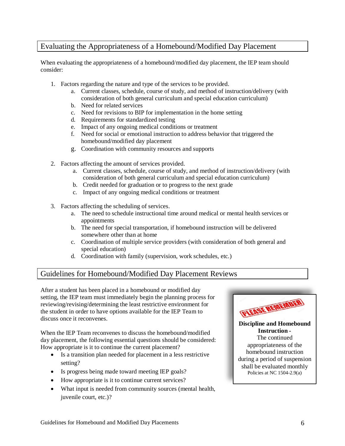## <span id="page-5-0"></span>Evaluating the Appropriateness of a Homebound/Modified Day Placement

When evaluating the appropriateness of a homebound/modified day placement, the IEP team should consider:

- 1. Factors regarding the nature and type of the services to be provided.
	- a. Current classes, schedule, course of study, and method of instruction/delivery (with consideration of both general curriculum and special education curriculum)
	- b. Need for related services
	- c. Need for revisions to BIP for implementation in the home setting
	- d. Requirements for standardized testing
	- e. Impact of any ongoing medical conditions or treatment
	- f. Need for social or emotional instruction to address behavior that triggered the homebound/modified day placement
	- g. Coordination with community resources and supports
- 2. Factors affecting the amount of services provided.
	- a. Current classes, schedule, course of study, and method of instruction/delivery (with consideration of both general curriculum and special education curriculum)
	- b. Credit needed for graduation or to progress to the next grade
	- c. Impact of any ongoing medical conditions or treatment
- 3. Factors affecting the scheduling of services.
	- a. The need to schedule instructional time around medical or mental health services or appointments
	- b. The need for special transportation, if homebound instruction will be delivered somewhere other than at home
	- c. Coordination of multiple service providers (with consideration of both general and special education)
	- d. Coordination with family (supervision, work schedules, etc.)

## <span id="page-5-1"></span>Guidelines for Homebound/Modified Day Placement Reviews

After a student has been placed in a homebound or modified day setting, the IEP team must immediately begin the planning process for reviewing/revising/determining the least restrictive environment for the student in order to have options available for the IEP Team to discuss once it reconvenes.

When the IEP Team reconvenes to discuss the homebound/modified day placement, the following essential questions should be considered: How appropriate is it to continue the current placement?

- Is a transition plan needed for placement in a less restrictive setting?
- Is progress being made toward meeting IEP goals?
- How appropriate is it to continue current services?
- What input is needed from community sources (mental health, juvenile court, etc.)?



**Discipline and Homebound Instruction -** The continued appropriateness of the homebound instruction during a period of suspension shall be evaluated monthly Policies at NC 1504-2.9(a)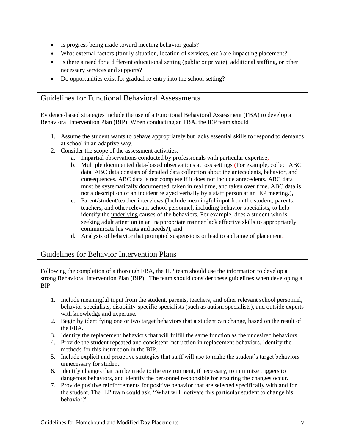- Is progress being made toward meeting behavior goals?
- What external factors (family situation, location of services, etc.) are impacting placement?
- Is there a need for a different educational setting (public or private), additional staffing, or other necessary services and supports?
- Do opportunities exist for gradual re-entry into the school setting?

## <span id="page-6-0"></span>Guidelines for Functional Behavioral Assessments

Evidence-based strategies include the use of a Functional Behavioral Assessment (FBA) to develop a Behavioral Intervention Plan (BIP). When conducting an FBA, the IEP team should

- 1. Assume the student wants to behave appropriately but lacks essential skills to respond to demands at school in an adaptive way.
- 2. Consider the scope of the assessment activities:
	- a. Impartial observations conducted by professionals with particular expertise,
	- b. Multiple documented data-based observations across settings (For example, collect ABC data. ABC data consists of detailed data collection about the antecedents, behavior, and consequences. ABC data is not complete if it does not include antecedents. ABC data must be systematically documented, taken in real time, and taken over time. ABC data is not a description of an incident relayed verbally by a staff person at an IEP meeting.),
	- c. Parent/student/teacher interviews (Include meaningful input from the student, parents, teachers, and other relevant school personnel, including behavior specialists, to help identify the underlying causes of the behaviors. For example, does a student who is seeking adult attention in an inappropriate manner lack effective skills to appropriately communicate his wants and needs?), and
	- d. Analysis of behavior that prompted suspensions or lead to a change of placement**.**

### <span id="page-6-1"></span>Guidelines for Behavior Intervention Plans

Following the completion of a thorough FBA, the IEP team should use the information to develop a strong Behavioral Intervention Plan (BIP). The team should consider these guidelines when developing a BIP:

- 1. Include meaningful input from the student, parents, teachers, and other relevant school personnel, behavior specialists, disability-specific specialists (such as autism specialists), and outside experts with knowledge and expertise.
- 2. Begin by identifying one or two target behaviors that a student can change, based on the result of the FBA.
- 3. Identify the replacement behaviors that will fulfill the same function as the undesired behaviors.
- 4. Provide the student repeated and consistent instruction in replacement behaviors. Identify the methods for this instruction in the BIP.
- 5. Include explicit and proactive strategies that staff will use to make the student's target behaviors unnecessary for student.
- 6. Identify changes that can be made to the environment, if necessary, to minimize triggers to dangerous behaviors, and identify the personnel responsible for ensuring the changes occur.
- 7. Provide positive reinforcements for positive behavior that are selected specifically with and for the student. The IEP team could ask, "What will motivate this particular student to change his behavior?"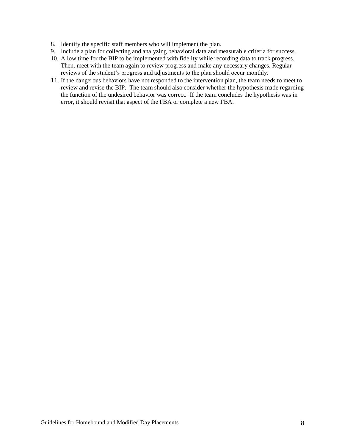- 8. Identify the specific staff members who will implement the plan.
- 9. Include a plan for collecting and analyzing behavioral data and measurable criteria for success.
- 10. Allow time for the BIP to be implemented with fidelity while recording data to track progress. Then, meet with the team again to review progress and make any necessary changes. Regular reviews of the student's progress and adjustments to the plan should occur monthly.
- 11. If the dangerous behaviors have not responded to the intervention plan, the team needs to meet to review and revise the BIP. The team should also consider whether the hypothesis made regarding the function of the undesired behavior was correct. If the team concludes the hypothesis was in error, it should revisit that aspect of the FBA or complete a new FBA.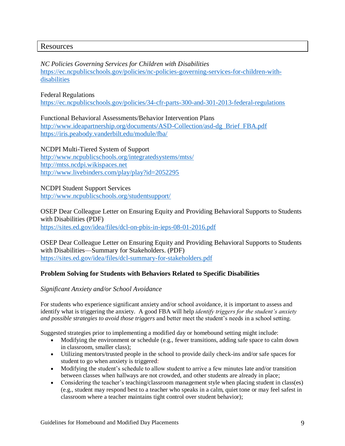### <span id="page-8-0"></span>**Resources**

*NC Policies Governing Services for Children with Disabilities* [https://ec.ncpublicschools.gov/policies/nc-policies-governing-services-for-children-with](https://ec.ncpublicschools.gov/policies/nc-policies-governing-services-for-children-with-disabilities)[disabilities](https://ec.ncpublicschools.gov/policies/nc-policies-governing-services-for-children-with-disabilities)

#### Federal Regulations

<https://ec.ncpublicschools.gov/policies/34-cfr-parts-300-and-301-2013-federal-regulations>

Functional Behavioral Assessments/Behavior Intervention Plans [http://www.ideapartnership.org/documents/ASD-Collection/asd-dg\\_Brief\\_FBA.pdf](http://www.ideapartnership.org/documents/ASD-Collection/asd-dg_Brief_FBA.pdf) <https://iris.peabody.vanderbilt.edu/module/fba/>

NCDPI Multi-Tiered System of Support <http://www.ncpublicschools.org/integratedsystems/mtss/> [http://mtss.ncdpi.wikispaces.net](http://mtss.ncdpi.wikispaces.net/) <http://www.livebinders.com/play/play?id=2052295>

NCDPI Student Support Services <http://www.ncpublicschools.org/studentsupport/>

OSEP Dear Colleague Letter on Ensuring Equity and Providing Behavioral Supports to Students with Disabilities (PDF)

<https://sites.ed.gov/idea/files/dcl-on-pbis-in-ieps-08-01-2016.pdf>

OSEP Dear Colleague Letter on Ensuring Equity and Providing Behavioral Supports to Students with Disabilities—Summary for Stakeholders. (PDF) <https://sites.ed.gov/idea/files/dcl-summary-for-stakeholders.pdf>

#### <span id="page-8-1"></span>**Problem Solving for Students with Behaviors Related to Specific Disabilities**

#### <span id="page-8-2"></span>*Significant Anxiety and/or School Avoidance*

For students who experience significant anxiety and/or school avoidance, it is important to assess and identify what is triggering the anxiety. A good FBA will help *identify triggers for the student's anxiety and possible strategies to avoid those triggers* and better meet the student's needs in a school setting.

Suggested strategies prior to implementing a modified day or homebound setting might include:

- Modifying the environment or schedule (e.g., fewer transitions, adding safe space to calm down in classroom, smaller class);
- Utilizing mentors/trusted people in the school to provide daily check-ins and/or safe spaces for student to go when anxiety is triggered:
- Modifying the student's schedule to allow student to arrive a few minutes late and/or transition between classes when hallways are not crowded, and other students are already in place;
- Considering the teacher's teaching/classroom management style when placing student in class(es) (e.g., student may respond best to a teacher who speaks in a calm, quiet tone or may feel safest in classroom where a teacher maintains tight control over student behavior);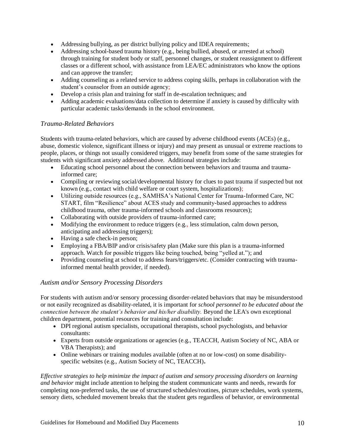- Addressing bullying, as per district bullying policy and IDEA requirements;
- Addressing school-based trauma history (e.g., being bullied, abused, or arrested at school) through training for student body or staff, personnel changes, or student reassignment to different classes or a different school, with assistance from LEA/EC administrators who know the options and can approve the transfer;
- Adding counseling as a related service to address coping skills, perhaps in collaboration with the student's counselor from an outside agency;
- Develop a crisis plan and training for staff in de-escalation techniques; and
- Adding academic evaluations/data collection to determine if anxiety is caused by difficulty with particular academic tasks/demands in the school environment.

#### <span id="page-9-0"></span>*Trauma-Related Behaviors*

Students with trauma-related behaviors, which are caused by adverse childhood events (ACEs) (e.g., abuse, domestic violence, significant illness or injury) and may present as unusual or extreme reactions to people, places, or things not usually considered triggers, may benefit from some of the same strategies for students with significant anxiety addressed above. Additional strategies include:

- Educating school personnel about the connection between behaviors and trauma and traumainformed care;
- Compiling or reviewing social/developmental history for clues to past trauma if suspected but not known (e.g., contact with child welfare or court system, hospitalizations);
- Utilizing outside resources (e.g., SAMHSA's National Center for Trauma-Informed Care, NC START, film "Resilience" about ACES study and community-based approaches to address childhood trauma, other trauma-informed schools and classrooms resources);
- Collaborating with outside providers of trauma-informed care;
- Modifying the environment to reduce triggers (e.g., less stimulation, calm down person, anticipating and addressing triggers);
- Having a safe check-in person;
- Employing a FBA/BIP and/or crisis/safety plan (Make sure this plan is a trauma-informed approach. Watch for possible triggers like being touched, being "yelled at."); and
- Providing counseling at school to address fears/triggers/etc. (Consider contracting with traumainformed mental health provider, if needed).

#### <span id="page-9-1"></span>*Autism and/or Sensory Processing Disorders*

For students with autism and/or sensory processing disorder-related behaviors that may be misunderstood or not easily recognized as disability-related, it is important for *school personnel to be educated about the connection between the student's behavior and his/her disability.* Beyond the LEA's own exceptional children department, potential resources for training and consultation include:

- DPI regional autism specialists, occupational therapists, school psychologists, and behavior consultants:
- Experts from outside organizations or agencies (e.g., TEACCH, Autism Society of NC, ABA or VBA Therapists); and
- Online webinars or training modules available (often at no or low-cost) on some disabilityspecific websites (e.g., Autism Society of NC, TEACCH)**.**

*Effective strategies to help minimize the impact of autism and sensory processing disorders on learning and behavior* might include attention to helping the student communicate wants and needs, rewards for completing non-preferred tasks, the use of structured schedules/routines, picture schedules, work systems, sensory diets, scheduled movement breaks that the student gets regardless of behavior, or environmental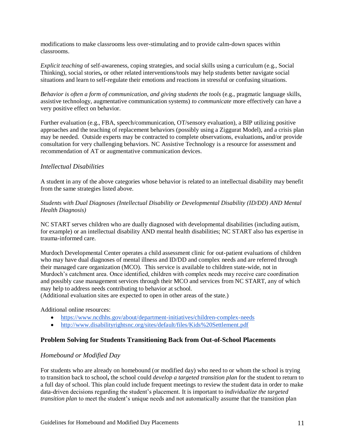modifications to make classrooms less over-stimulating and to provide calm-down spaces within classrooms.

*Explicit teaching* of self-awareness, coping strategies, and social skills using a curriculum (e.g., Social Thinking), social stories**,** or other related interventions/tools may help students better navigate social situations and learn to self-regulate their emotions and reactions in stressful or confusing situations.

*Behavior is often a form of communication, and giving students the tools* (e.g., pragmatic language skills, assistive technology, augmentative communication systems) *to communicate* more effectively can have a very positive effect on behavior.

Further evaluation (e.g., FBA, speech/communication, OT/sensory evaluation), a BIP utilizing positive approaches and the teaching of replacement behaviors (possibly using a Ziggurat Model), and a crisis plan may be needed. Outside experts may be contracted to complete observations, evaluations**,** and/or provide consultation for very challenging behaviors. NC Assistive Technology is a resource for assessment and recommendation of AT or augmentative communication devices.

#### <span id="page-10-0"></span>*Intellectual Disabilities*

A student in any of the above categories whose behavior is related to an intellectual disability may benefit from the same strategies listed above.

*Students with Dual Diagnoses (Intellectual Disability or Developmental Disability (ID/DD) AND Mental Health Diagnosis)*

NC START serves children who are dually diagnosed with developmental disabilities (including autism, for example) or an intellectual disability AND mental health disabilities; NC START also has expertise in trauma-informed care.

Murdoch Developmental Center operates a child assessment clinic for out-patient evaluations of children who may have dual diagnoses of mental illness and ID/DD and complex needs and are referred through their managed care organization (MCO). This service is available to children state-wide, not in Murdoch's catchment area. Once identified, children with complex needs may receive care coordination and possibly case management services through their MCO and services from NC START, any of which may help to address needs contributing to behavior at school.

(Additional evaluation sites are expected to open in other areas of the state.)

Additional online resources:

- <https://www.ncdhhs.gov/about/department-initiatives/children-complex-needs>
- <http://www.disabilityrightsnc.org/sites/default/files/Kids%20Settlement.pdf>

#### <span id="page-10-1"></span>**Problem Solving for Students Transitioning Back from Out-of-School Placements**

#### <span id="page-10-2"></span>*Homebound or Modified Day*

For students who are already on homebound (or modified day) who need to or whom the school is trying to transition back to school**,** the school could *develop a targeted transition plan* for the student to return to a full day of school. This plan could include frequent meetings to review the student data in order to make data-driven decisions regarding the student's placement*.* It is important to *individualize the targeted transition plan* to meet the student's unique needs and not automatically assume that the transition plan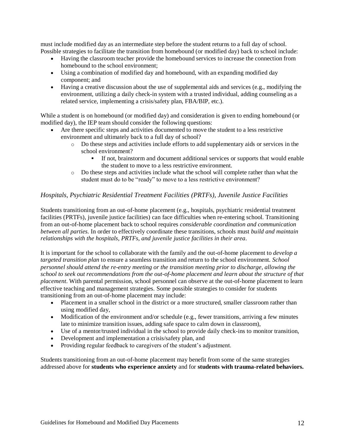must include modified day as an intermediate step before the student returns to a full day of school. Possible strategies to facilitate the transition from homebound (or modified day) back to school include:

- Having the classroom teacher provide the homebound services to increase the connection from homebound to the school environment;
- Using a combination of modified day and homebound, with an expanding modified day component; and
- Having a creative discussion about the use of supplemental aids and services (e.g., modifying the environment, utilizing a daily check-in system with a trusted individual, adding counseling as a related service, implementing a crisis/safety plan, FBA/BIP, etc.).

While a student is on homebound (or modified day) and consideration is given to ending homebound (or modified day), the IEP team should consider the following questions:

- Are there specific steps and activities documented to move the student to a less restrictive environment and ultimately back to a full day of school?
	- o Do these steps and activities include efforts to add supplementary aids or services in the school environment?
		- If not, brainstorm and document additional services or supports that would enable the student to move to a less restrictive environment.
	- o Do these steps and activities include what the school will complete rather than what the student must do to be "ready" to move to a less restrictive environment?

### <span id="page-11-0"></span>*Hospitals, Psychiatric Residential Treatment Facilities (PRTFs), Juvenile Justice Facilities*

Students transitioning from an out-of-home placement (e.g., hospitals, psychiatric residential treatment facilities (PRTFs), juvenile justice facilities) can face difficulties when re-entering school. Transitioning from an out-of-home placement back to school requires *considerable coordination and communication between all parties.* In order to effectively coordinate these transitions, schools must *build and maintain relationships with the hospitals, PRTFs, and juvenile justice facilities in their area*.

It is important for the school to collaborate with the family and the out-of-home placement to *develop a targeted transition plan* to ensure a seamless transition and return to the school environment. *School personnel should attend the re-entry meeting or the transition meeting prior to discharge, allowing the school to seek out recommendations from the out-of-home placement and learn about the structure of that placement*. With parental permission, school personnel can observe at the out-of-home placement to learn effective teaching and management strategies. Some possible strategies to consider for students transitioning from an out-of-home placement may include:

- Placement in a smaller school in the district or a more structured, smaller classroom rather than using modified day,
- Modification of the environment and/or schedule (e.g., fewer transitions, arriving a few minutes late to minimize transition issues, adding safe space to calm down in classroom),
- Use of a mentor/trusted individual in the school to provide daily check-ins to monitor transition,
- Development and implementation a crisis/safety plan, and
- Providing regular feedback to caregivers of the student's adjustment.

Students transitioning from an out-of-home placement may benefit from some of the same strategies addressed above for **students who experience anxiety** and for **students with trauma-related behaviors.**